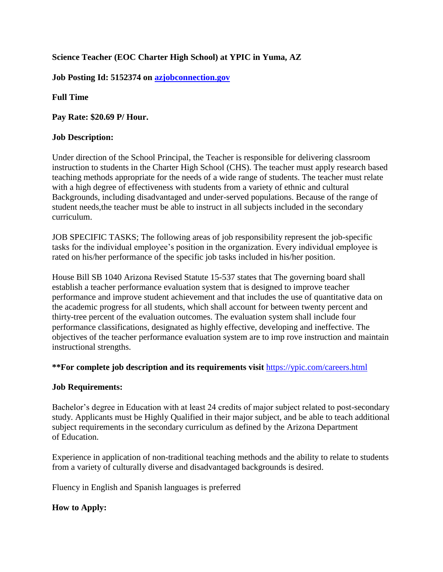# **Science Teacher (EOC Charter High School) at YPIC in Yuma, AZ**

**Job Posting Id: 5152374 on [azjobconnection.gov](http://azjobconnection.gov/)**

**Full Time**

**Pay Rate: \$20.69 P/ Hour.**

## **Job Description:**

Under direction of the School Principal, the Teacher is responsible for delivering classroom instruction to students in the Charter High School (CHS). The teacher must apply research based teaching methods appropriate for the needs of a wide range of students. The teacher must relate with a high degree of effectiveness with students from a variety of ethnic and cultural Backgrounds, including disadvantaged and under-served populations. Because of the range of student needs,the teacher must be able to instruct in all subjects included in the secondary curriculum.

JOB SPECIFIC TASKS; The following areas of job responsibility represent the job-specific tasks for the individual employee's position in the organization. Every individual employee is rated on his/her performance of the specific job tasks included in his/her position.

House Bill SB 1040 Arizona Revised Statute 15-537 states that The governing board shall establish a teacher performance evaluation system that is designed to improve teacher performance and improve student achievement and that includes the use of quantitative data on the academic progress for all students, which shall account for between twenty percent and thirty-tree percent of the evaluation outcomes. The evaluation system shall include four performance classifications, designated as highly effective, developing and ineffective. The objectives of the teacher performance evaluation system are to imp rove instruction and maintain instructional strengths.

## **\*\*For complete job description and its requirements visit** <https://ypic.com/careers.html>

## **Job Requirements:**

Bachelor's degree in Education with at least 24 credits of major subject related to post-secondary study. Applicants must be Highly Qualified in their major subject, and be able to teach additional subject requirements in the secondary curriculum as defined by the Arizona Department of Education.

Experience in application of non-traditional teaching methods and the ability to relate to students from a variety of culturally diverse and disadvantaged backgrounds is desired.

Fluency in English and Spanish languages is preferred

## **How to Apply:**